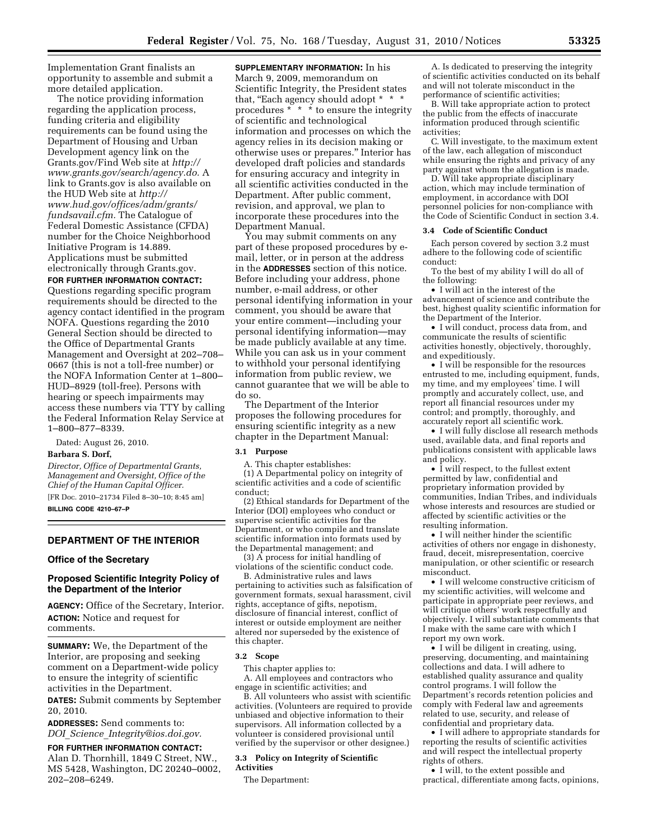Implementation Grant finalists an opportunity to assemble and submit a more detailed application.

The notice providing information regarding the application process, funding criteria and eligibility requirements can be found using the Department of Housing and Urban Development agency link on the Grants.gov/Find Web site at *[http://](http://www.grants.gov/search/agency.do)  [www.grants.gov/search/agency.do.](http://www.grants.gov/search/agency.do)* A link to Grants.gov is also available on the HUD Web site at *[http://](http://www.hud.gov/offices/adm/grants/fundsavail.cfm)  [www.hud.gov/offices/adm/grants/](http://www.hud.gov/offices/adm/grants/fundsavail.cfm) [fundsavail.cfm.](http://www.hud.gov/offices/adm/grants/fundsavail.cfm)* The Catalogue of Federal Domestic Assistance (CFDA) number for the Choice Neighborhood Initiative Program is 14.889. Applications must be submitted electronically through Grants.gov. **FOR FURTHER INFORMATION CONTACT:**  Questions regarding specific program requirements should be directed to the agency contact identified in the program NOFA. Questions regarding the 2010 General Section should be directed to the Office of Departmental Grants Management and Oversight at 202–708– 0667 (this is not a toll-free number) or the NOFA Information Center at 1–800– HUD–8929 (toll-free). Persons with hearing or speech impairments may access these numbers via TTY by calling the Federal Information Relay Service at 1–800–877–8339.

Dated: August 26, 2010. **Barbara S. Dorf,** 

*Director, Office of Departmental Grants, Management and Oversight, Office of the Chief of the Human Capital Officer.*  [FR Doc. 2010–21734 Filed 8–30–10; 8:45 am] **BILLING CODE 4210–67–P** 

# **DEPARTMENT OF THE INTERIOR**

## **Office of the Secretary**

## **Proposed Scientific Integrity Policy of the Department of the Interior**

**AGENCY:** Office of the Secretary, Interior. **ACTION:** Notice and request for comments.

**SUMMARY:** We, the Department of the Interior, are proposing and seeking comment on a Department-wide policy to ensure the integrity of scientific activities in the Department.

**DATES:** Submit comments by September 20, 2010.

**ADDRESSES:** Send comments to: *DOI*\_*Science*\_*[Integrity@ios.doi.gov.](mailto:DOI_Science_Integrity@ios.doi.gov)* 

# **FOR FURTHER INFORMATION CONTACT:**

Alan D. Thornhill, 1849 C Street, NW., MS 5428, Washington, DC 20240–0002, 202–208–6249.

**SUPPLEMENTARY INFORMATION:** In his March 9, 2009, memorandum on Scientific Integrity, the President states that, "Each agency should adopt \*  $*$ procedures \* \* \* to ensure the integrity of scientific and technological information and processes on which the agency relies in its decision making or otherwise uses or prepares.'' Interior has developed draft policies and standards for ensuring accuracy and integrity in all scientific activities conducted in the Department. After public comment, revision, and approval, we plan to incorporate these procedures into the Department Manual.

You may submit comments on any part of these proposed procedures by email, letter, or in person at the address in the **ADDRESSES** section of this notice. Before including your address, phone number, e-mail address, or other personal identifying information in your comment, you should be aware that your entire comment—including your personal identifying information—may be made publicly available at any time. While you can ask us in your comment to withhold your personal identifying information from public review, we cannot guarantee that we will be able to do so.

The Department of the Interior proposes the following procedures for ensuring scientific integrity as a new chapter in the Department Manual:

## **3.1 Purpose**

A. This chapter establishes:

(1) A Departmental policy on integrity of scientific activities and a code of scientific conduct;

(2) Ethical standards for Department of the Interior (DOI) employees who conduct or supervise scientific activities for the Department, or who compile and translate scientific information into formats used by the Departmental management; and

(3) A process for initial handling of violations of the scientific conduct code.

B. Administrative rules and laws pertaining to activities such as falsification of government formats, sexual harassment, civil rights, acceptance of gifts, nepotism, disclosure of financial interest, conflict of interest or outside employment are neither altered nor superseded by the existence of this chapter.

### **3.2 Scope**

This chapter applies to:

A. All employees and contractors who engage in scientific activities; and

B. All volunteers who assist with scientific activities. (Volunteers are required to provide unbiased and objective information to their supervisors. All information collected by a volunteer is considered provisional until verified by the supervisor or other designee.)

#### **3.3 Policy on Integrity of Scientific Activities**

The Department:

A. Is dedicated to preserving the integrity of scientific activities conducted on its behalf and will not tolerate misconduct in the performance of scientific activities;

B. Will take appropriate action to protect the public from the effects of inaccurate information produced through scientific activities;

C. Will investigate, to the maximum extent of the law, each allegation of misconduct while ensuring the rights and privacy of any party against whom the allegation is made.

D. Will take appropriate disciplinary action, which may include termination of employment, in accordance with DOI personnel policies for non-compliance with the Code of Scientific Conduct in section 3.4.

### **3.4 Code of Scientific Conduct**

Each person covered by section 3.2 must adhere to the following code of scientific conduct:

To the best of my ability I will do all of the following:

• I will act in the interest of the advancement of science and contribute the best, highest quality scientific information for the Department of the Interior.

• I will conduct, process data from, and communicate the results of scientific activities honestly, objectively, thoroughly, and expeditiously.

• I will be responsible for the resources entrusted to me, including equipment, funds, my time, and my employees' time. I will promptly and accurately collect, use, and report all financial resources under my control; and promptly, thoroughly, and accurately report all scientific work.

• I will fully disclose all research methods used, available data, and final reports and publications consistent with applicable laws and policy.

• I will respect, to the fullest extent permitted by law, confidential and proprietary information provided by communities, Indian Tribes, and individuals whose interests and resources are studied or affected by scientific activities or the resulting information.

• I will neither hinder the scientific activities of others nor engage in dishonesty, fraud, deceit, misrepresentation, coercive manipulation, or other scientific or research misconduct.

• I will welcome constructive criticism of my scientific activities, will welcome and participate in appropriate peer reviews, and will critique others' work respectfully and objectively. I will substantiate comments that I make with the same care with which I report my own work.

• I will be diligent in creating, using, preserving, documenting, and maintaining collections and data. I will adhere to established quality assurance and quality control programs. I will follow the Department's records retention policies and comply with Federal law and agreements related to use, security, and release of confidential and proprietary data.

• I will adhere to appropriate standards for reporting the results of scientific activities and will respect the intellectual property rights of others.

• I will, to the extent possible and practical, differentiate among facts, opinions,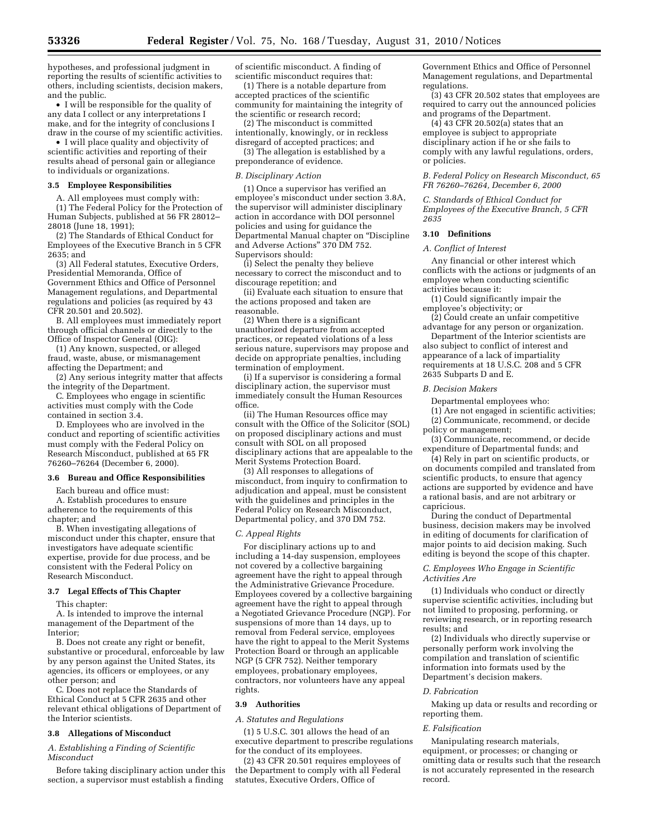hypotheses, and professional judgment in reporting the results of scientific activities to others, including scientists, decision makers, and the public.

• I will be responsible for the quality of any data I collect or any interpretations I make, and for the integrity of conclusions I draw in the course of my scientific activities.

• I will place quality and objectivity of scientific activities and reporting of their results ahead of personal gain or allegiance to individuals or organizations.

#### **3.5 Employee Responsibilities**

A. All employees must comply with:

(1) The Federal Policy for the Protection of Human Subjects, published at 56 FR 28012– 28018 (June 18, 1991);

(2) The Standards of Ethical Conduct for Employees of the Executive Branch in 5 CFR 2635; and

(3) All Federal statutes, Executive Orders, Presidential Memoranda, Office of Government Ethics and Office of Personnel Management regulations, and Departmental regulations and policies (as required by 43 CFR 20.501 and 20.502).

B. All employees must immediately report through official channels or directly to the Office of Inspector General (OIG):

(1) Any known, suspected, or alleged fraud, waste, abuse, or mismanagement affecting the Department; and

(2) Any serious integrity matter that affects the integrity of the Department.

C. Employees who engage in scientific activities must comply with the Code contained in section 3.4.

D. Employees who are involved in the conduct and reporting of scientific activities must comply with the Federal Policy on Research Misconduct, published at 65 FR 76260–76264 (December 6, 2000).

## **3.6 Bureau and Office Responsibilities**

Each bureau and office must:

A. Establish procedures to ensure adherence to the requirements of this chapter; and

B. When investigating allegations of misconduct under this chapter, ensure that investigators have adequate scientific expertise, provide for due process, and be consistent with the Federal Policy on Research Misconduct.

#### **3.7 Legal Effects of This Chapter**

This chapter:

A. Is intended to improve the internal management of the Department of the Interior;

B. Does not create any right or benefit, substantive or procedural, enforceable by law by any person against the United States, its agencies, its officers or employees, or any other person; and

C. Does not replace the Standards of Ethical Conduct at 5 CFR 2635 and other relevant ethical obligations of Department of the Interior scientists.

## **3.8 Allegations of Misconduct**

### *A. Establishing a Finding of Scientific Misconduct*

Before taking disciplinary action under this section, a supervisor must establish a finding

of scientific misconduct. A finding of scientific misconduct requires that:

(1) There is a notable departure from accepted practices of the scientific community for maintaining the integrity of the scientific or research record;

(2) The misconduct is committed intentionally, knowingly, or in reckless disregard of accepted practices; and

(3) The allegation is established by a preponderance of evidence.

### *B. Disciplinary Action*

(1) Once a supervisor has verified an employee's misconduct under section 3.8A, the supervisor will administer disciplinary action in accordance with DOI personnel policies and using for guidance the Departmental Manual chapter on ''Discipline and Adverse Actions'' 370 DM 752. Supervisors should:

(i) Select the penalty they believe necessary to correct the misconduct and to discourage repetition; and

(ii) Evaluate each situation to ensure that the actions proposed and taken are reasonable.

(2) When there is a significant unauthorized departure from accepted practices, or repeated violations of a less serious nature, supervisors may propose and decide on appropriate penalties, including termination of employment.

(i) If a supervisor is considering a formal disciplinary action, the supervisor must immediately consult the Human Resources office.

(ii) The Human Resources office may consult with the Office of the Solicitor (SOL) on proposed disciplinary actions and must consult with SOL on all proposed disciplinary actions that are appealable to the Merit Systems Protection Board.

(3) All responses to allegations of misconduct, from inquiry to confirmation to adjudication and appeal, must be consistent with the guidelines and principles in the Federal Policy on Research Misconduct, Departmental policy, and 370 DM 752.

## *C. Appeal Rights*

For disciplinary actions up to and including a 14-day suspension, employees not covered by a collective bargaining agreement have the right to appeal through the Administrative Grievance Procedure. Employees covered by a collective bargaining agreement have the right to appeal through a Negotiated Grievance Procedure (NGP). For suspensions of more than 14 days, up to removal from Federal service, employees have the right to appeal to the Merit Systems Protection Board or through an applicable NGP (5 CFR 752). Neither temporary employees, probationary employees, contractors, nor volunteers have any appeal rights.

## **3.9 Authorities**

*A. Statutes and Regulations* 

(1) 5 U.S.C. 301 allows the head of an executive department to prescribe regulations for the conduct of its employees.

(2) 43 CFR 20.501 requires employees of the Department to comply with all Federal statutes, Executive Orders, Office of

Government Ethics and Office of Personnel Management regulations, and Departmental regulations.

(3) 43 CFR 20.502 states that employees are required to carry out the announced policies and programs of the Department.

(4) 43 CFR 20.502(a) states that an employee is subject to appropriate disciplinary action if he or she fails to comply with any lawful regulations, orders, or policies.

## *B. Federal Policy on Research Misconduct, 65 FR 76260–76264, December 6, 2000*

*C. Standards of Ethical Conduct for Employees of the Executive Branch, 5 CFR 2635* 

### **3.10 Definitions**

## *A. Conflict of Interest*

Any financial or other interest which conflicts with the actions or judgments of an employee when conducting scientific activities because it:

(1) Could significantly impair the employee's objectivity; or

(2) Could create an unfair competitive advantage for any person or organization.

Department of the Interior scientists are also subject to conflict of interest and appearance of a lack of impartiality requirements at 18 U.S.C. 208 and 5 CFR 2635 Subparts D and E.

## *B. Decision Makers*

Departmental employees who:

(1) Are not engaged in scientific activities;

(2) Communicate, recommend, or decide policy or management;

(3) Communicate, recommend, or decide expenditure of Departmental funds; and

(4) Rely in part on scientific products, or on documents compiled and translated from scientific products, to ensure that agency actions are supported by evidence and have a rational basis, and are not arbitrary or capricious.

During the conduct of Departmental business, decision makers may be involved in editing of documents for clarification of major points to aid decision making. Such editing is beyond the scope of this chapter.

## *C. Employees Who Engage in Scientific Activities Are*

(1) Individuals who conduct or directly supervise scientific activities, including but not limited to proposing, performing, or reviewing research, or in reporting research results; and

(2) Individuals who directly supervise or personally perform work involving the compilation and translation of scientific information into formats used by the Department's decision makers.

## *D. Fabrication*

Making up data or results and recording or reporting them.

#### *E. Falsification*

Manipulating research materials, equipment, or processes; or changing or omitting data or results such that the research is not accurately represented in the research record.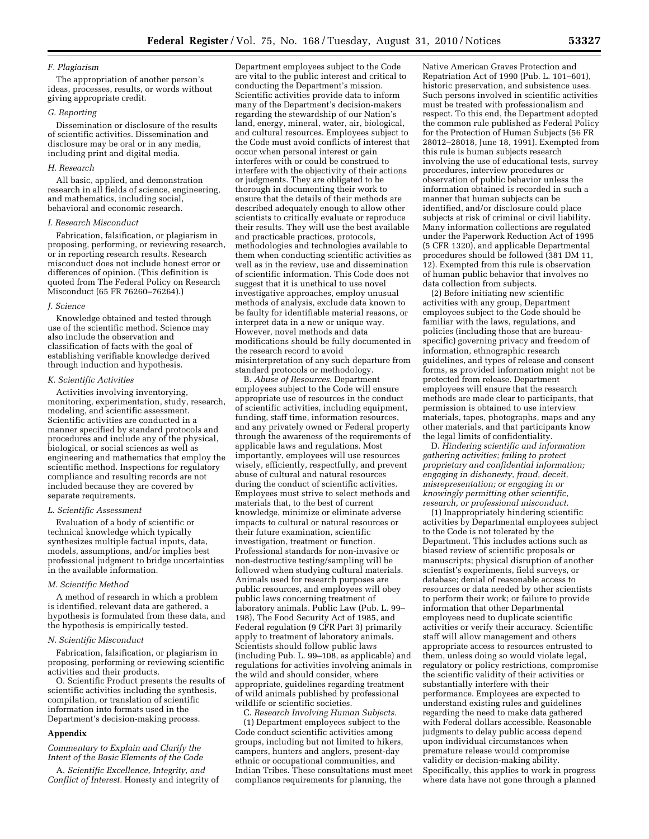### *F. Plagiarism*

The appropriation of another person's ideas, processes, results, or words without giving appropriate credit.

#### *G. Reporting*

Dissemination or disclosure of the results of scientific activities. Dissemination and disclosure may be oral or in any media, including print and digital media.

## *H. Research*

All basic, applied, and demonstration research in all fields of science, engineering, and mathematics, including social, behavioral and economic research.

### *I. Research Misconduct*

Fabrication, falsification, or plagiarism in proposing, performing, or reviewing research, or in reporting research results. Research misconduct does not include honest error or differences of opinion. (This definition is quoted from The Federal Policy on Research Misconduct (65 FR 76260–76264).)

### *J. Science*

Knowledge obtained and tested through use of the scientific method. Science may also include the observation and classification of facts with the goal of establishing verifiable knowledge derived through induction and hypothesis.

## *K. Scientific Activities*

Activities involving inventorying, monitoring, experimentation, study, research, modeling, and scientific assessment. Scientific activities are conducted in a manner specified by standard protocols and procedures and include any of the physical, biological, or social sciences as well as engineering and mathematics that employ the scientific method. Inspections for regulatory compliance and resulting records are not included because they are covered by separate requirements.

### *L. Scientific Assessment*

Evaluation of a body of scientific or technical knowledge which typically synthesizes multiple factual inputs, data, models, assumptions, and/or implies best professional judgment to bridge uncertainties in the available information.

### *M. Scientific Method*

A method of research in which a problem is identified, relevant data are gathered, a hypothesis is formulated from these data, and the hypothesis is empirically tested.

## *N. Scientific Misconduct*

Fabrication, falsification, or plagiarism in proposing, performing or reviewing scientific activities and their products.

O. Scientific Product presents the results of scientific activities including the synthesis, compilation, or translation of scientific information into formats used in the Department's decision-making process.

### **Appendix**

*Commentary to Explain and Clarify the Intent of the Basic Elements of the Code* 

A. *Scientific Excellence, Integrity, and Conflict of Interest.* Honesty and integrity of

Department employees subject to the Code are vital to the public interest and critical to conducting the Department's mission. Scientific activities provide data to inform many of the Department's decision-makers regarding the stewardship of our Nation's land, energy, mineral, water, air, biological, and cultural resources. Employees subject to the Code must avoid conflicts of interest that occur when personal interest or gain interferes with or could be construed to interfere with the objectivity of their actions or judgments. They are obligated to be thorough in documenting their work to ensure that the details of their methods are described adequately enough to allow other scientists to critically evaluate or reproduce their results. They will use the best available and practicable practices, protocols, methodologies and technologies available to them when conducting scientific activities as well as in the review, use and dissemination of scientific information. This Code does not suggest that it is unethical to use novel investigative approaches, employ unusual methods of analysis, exclude data known to be faulty for identifiable material reasons, or interpret data in a new or unique way. However, novel methods and data modifications should be fully documented in the research record to avoid misinterpretation of any such departure from standard protocols or methodology.

B. *Abuse of Resources.* Department employees subject to the Code will ensure appropriate use of resources in the conduct of scientific activities, including equipment, funding, staff time, information resources, and any privately owned or Federal property through the awareness of the requirements of applicable laws and regulations. Most importantly, employees will use resources wisely, efficiently, respectfully, and prevent abuse of cultural and natural resources during the conduct of scientific activities. Employees must strive to select methods and materials that, to the best of current knowledge, minimize or eliminate adverse impacts to cultural or natural resources or their future examination, scientific investigation, treatment or function. Professional standards for non-invasive or non-destructive testing/sampling will be followed when studying cultural materials. Animals used for research purposes are public resources, and employees will obey public laws concerning treatment of laboratory animals. Public Law (Pub. L. 99– 198), The Food Security Act of 1985, and Federal regulation (9 CFR Part 3) primarily apply to treatment of laboratory animals. Scientists should follow public laws (including Pub. L. 99–108, as applicable) and regulations for activities involving animals in the wild and should consider, where appropriate, guidelines regarding treatment of wild animals published by professional wildlife or scientific societies.

C. *Research Involving Human Subjects.* 

(1) Department employees subject to the Code conduct scientific activities among groups, including but not limited to hikers, campers, hunters and anglers, present-day ethnic or occupational communities, and Indian Tribes. These consultations must meet compliance requirements for planning, the

Native American Graves Protection and Repatriation Act of 1990 (Pub. L. 101–601), historic preservation, and subsistence uses. Such persons involved in scientific activities must be treated with professionalism and respect. To this end, the Department adopted the common rule published as Federal Policy for the Protection of Human Subjects (56 FR 28012–28018, June 18, 1991). Exempted from this rule is human subjects research involving the use of educational tests, survey procedures, interview procedures or observation of public behavior unless the information obtained is recorded in such a manner that human subjects can be identified, and/or disclosure could place subjects at risk of criminal or civil liability. Many information collections are regulated under the Paperwork Reduction Act of 1995 (5 CFR 1320), and applicable Departmental procedures should be followed (381 DM 11, 12). Exempted from this rule is observation of human public behavior that involves no data collection from subjects.

(2) Before initiating new scientific activities with any group, Department employees subject to the Code should be familiar with the laws, regulations, and policies (including those that are bureauspecific) governing privacy and freedom of information, ethnographic research guidelines, and types of release and consent forms, as provided information might not be protected from release. Department employees will ensure that the research methods are made clear to participants, that permission is obtained to use interview materials, tapes, photographs, maps and any other materials, and that participants know the legal limits of confidentiality.

D. *Hindering scientific and information gathering activities; failing to protect proprietary and confidential information; engaging in dishonesty, fraud, deceit, misrepresentation; or engaging in or knowingly permitting other scientific, research, or professional misconduct.* 

(1) Inappropriately hindering scientific activities by Departmental employees subject to the Code is not tolerated by the Department. This includes actions such as biased review of scientific proposals or manuscripts; physical disruption of another scientist's experiments, field surveys, or database; denial of reasonable access to resources or data needed by other scientists to perform their work; or failure to provide information that other Departmental employees need to duplicate scientific activities or verify their accuracy. Scientific staff will allow management and others appropriate access to resources entrusted to them, unless doing so would violate legal, regulatory or policy restrictions, compromise the scientific validity of their activities or substantially interfere with their performance. Employees are expected to understand existing rules and guidelines regarding the need to make data gathered with Federal dollars accessible. Reasonable judgments to delay public access depend upon individual circumstances when premature release would compromise validity or decision-making ability. Specifically, this applies to work in progress where data have not gone through a planned